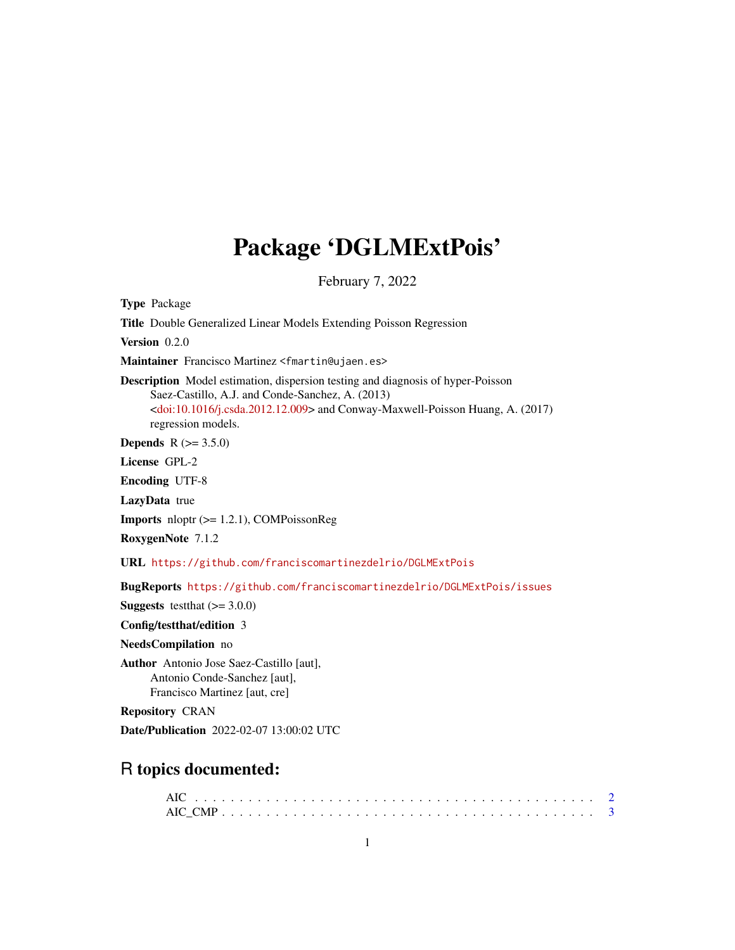# Package 'DGLMExtPois'

February 7, 2022

<span id="page-0-0"></span>Type Package

Title Double Generalized Linear Models Extending Poisson Regression

Version 0.2.0

Maintainer Francisco Martinez <fmartin@ujaen.es>

Description Model estimation, dispersion testing and diagnosis of hyper-Poisson Saez-Castillo, A.J. and Conde-Sanchez, A. (2013) [<doi:10.1016/j.csda.2012.12.009>](https://doi.org/10.1016/j.csda.2012.12.009) and Conway-Maxwell-Poisson Huang, A. (2017) regression models.

**Depends**  $R (= 3.5.0)$ 

License GPL-2

Encoding UTF-8

LazyData true

Imports nloptr (>= 1.2.1), COMPoissonReg

RoxygenNote 7.1.2

URL <https://github.com/franciscomartinezdelrio/DGLMExtPois>

BugReports <https://github.com/franciscomartinezdelrio/DGLMExtPois/issues>

**Suggests** testthat  $(>= 3.0.0)$ 

Config/testthat/edition 3

NeedsCompilation no

Author Antonio Jose Saez-Castillo [aut], Antonio Conde-Sanchez [aut], Francisco Martinez [aut, cre]

Repository CRAN

Date/Publication 2022-02-07 13:00:02 UTC

# R topics documented: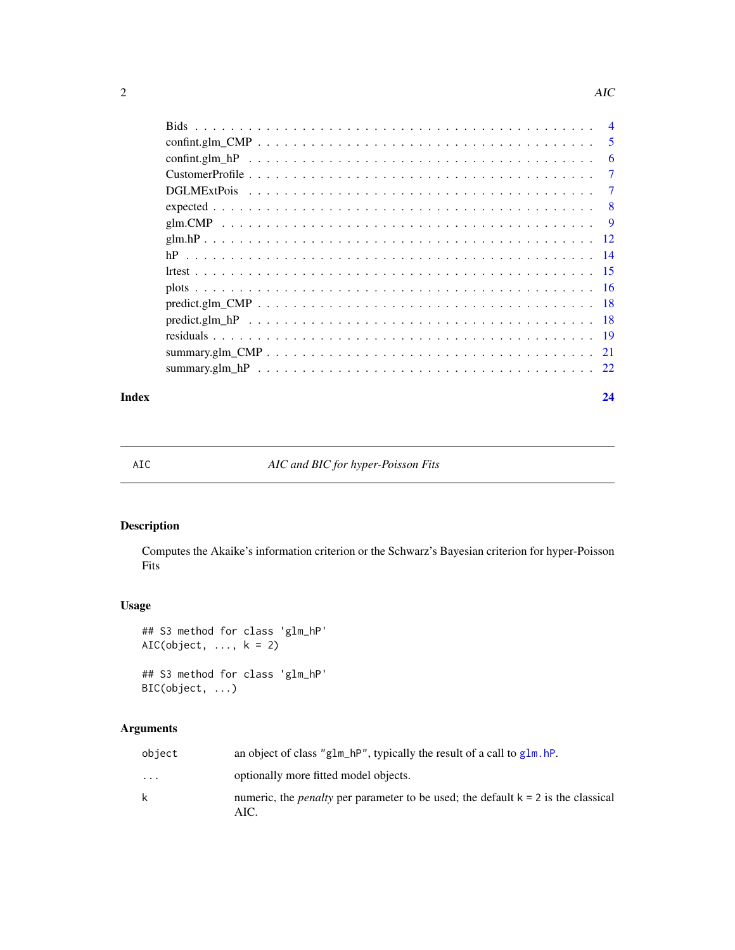<span id="page-1-0"></span>

|       | - 6 |
|-------|-----|
|       |     |
|       |     |
|       |     |
|       |     |
|       |     |
|       |     |
|       |     |
|       |     |
|       |     |
|       |     |
|       |     |
|       |     |
|       |     |
| Index | 24  |

# AIC *AIC and BIC for hyper-Poisson Fits*

# Description

Computes the Akaike's information criterion or the Schwarz's Bayesian criterion for hyper-Poisson Fits

# Usage

```
## S3 method for class 'glm_hP'
AIC(object, ..., k = 2)## S3 method for class 'glm_hP'
BIC(object, ...)
```
# Arguments

| object                  | an object of class "g1m_hP", typically the result of a call to $g1m$ . hP.                         |
|-------------------------|----------------------------------------------------------------------------------------------------|
| $\cdot$ $\cdot$ $\cdot$ | optionally more fitted model objects.                                                              |
| k                       | numeric, the <i>penalty</i> per parameter to be used; the default $k = 2$ is the classical<br>AIC. |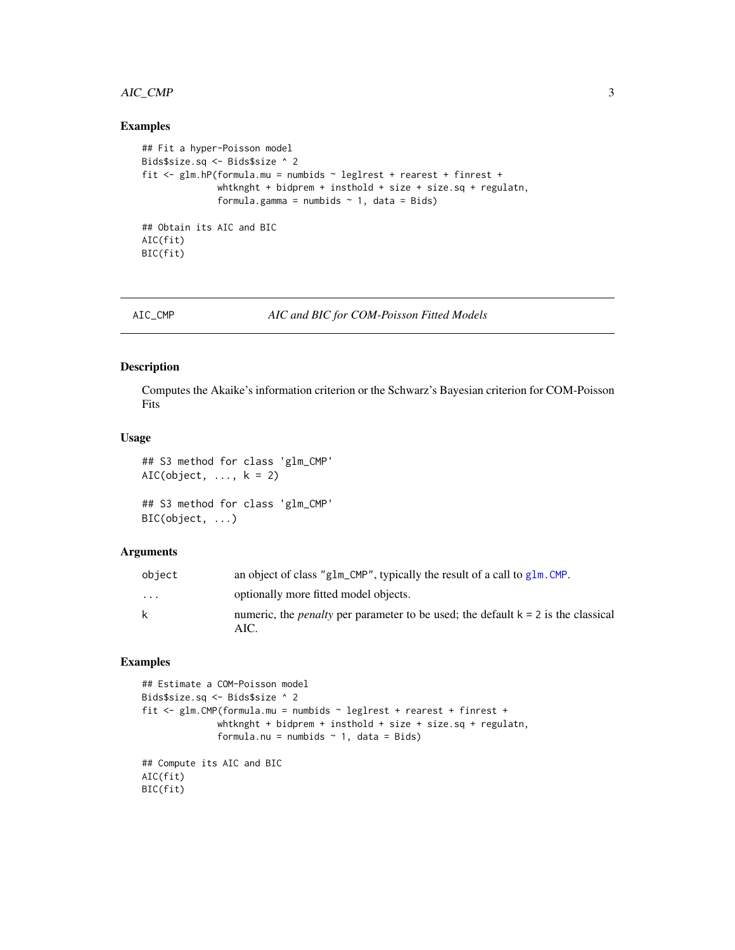# <span id="page-2-0"></span>AIC\_CMP 3

#### Examples

```
## Fit a hyper-Poisson model
Bids$size.sq <- Bids$size ^ 2
fit <- glm.hP(formula.mu = numbids ~ leglrest + rearest + finrest +
              whtknght + bidprem + insthold + size + size.sq + regulatn,
              formula.gamma = numbids \sim 1, data = Bids)
## Obtain its AIC and BIC
AIC(fit)
BIC(fit)
```
AIC\_CMP *AIC and BIC for COM-Poisson Fitted Models*

#### Description

Computes the Akaike's information criterion or the Schwarz's Bayesian criterion for COM-Poisson Fits

# Usage

```
## S3 method for class 'glm_CMP'
AIC(object, ..., k = 2)## S3 method for class 'glm_CMP'
```

```
BIC(object, ...)
```
#### Arguments

| object   | an object of class "g1m_CMP", typically the result of a call to $g1m$ . CMP.               |
|----------|--------------------------------------------------------------------------------------------|
| $\cdots$ | optionally more fitted model objects.                                                      |
| k        | numeric, the <i>penalty</i> per parameter to be used; the default $k = 2$ is the classical |
|          | AIC.                                                                                       |

```
## Estimate a COM-Poisson model
Bids$size.sq <- Bids$size ^ 2
fit <- glm.CMP(formula.mu = numbids ~ leglrest + rearest + finrest +
              whtknght + bidprem + insthold + size + size.sq + regulatn,
              formula.nu = numbids \sim 1, data = Bids)
## Compute its AIC and BIC
AIC(fit)
BIC(fit)
```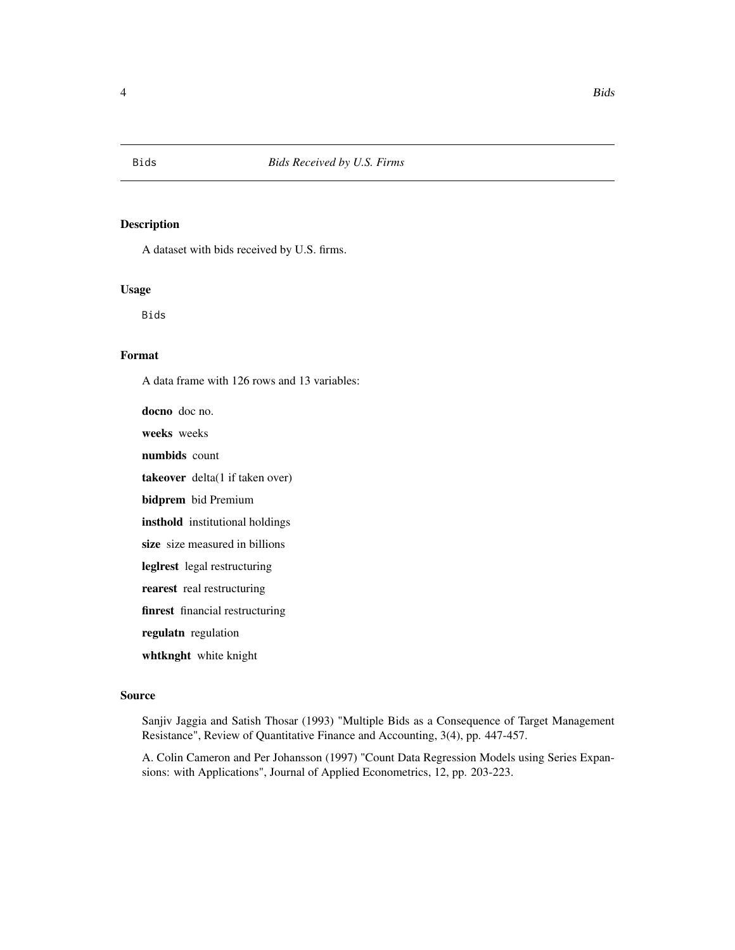<span id="page-3-0"></span>

A dataset with bids received by U.S. firms.

### Usage

Bids

# Format

A data frame with 126 rows and 13 variables:

docno doc no. weeks weeks numbids count takeover delta(1 if taken over) bidprem bid Premium insthold institutional holdings size size measured in billions leglrest legal restructuring rearest real restructuring finrest financial restructuring regulatn regulation whtknght white knight

#### Source

Sanjiv Jaggia and Satish Thosar (1993) "Multiple Bids as a Consequence of Target Management Resistance", Review of Quantitative Finance and Accounting, 3(4), pp. 447-457.

A. Colin Cameron and Per Johansson (1997) "Count Data Regression Models using Series Expansions: with Applications", Journal of Applied Econometrics, 12, pp. 203-223.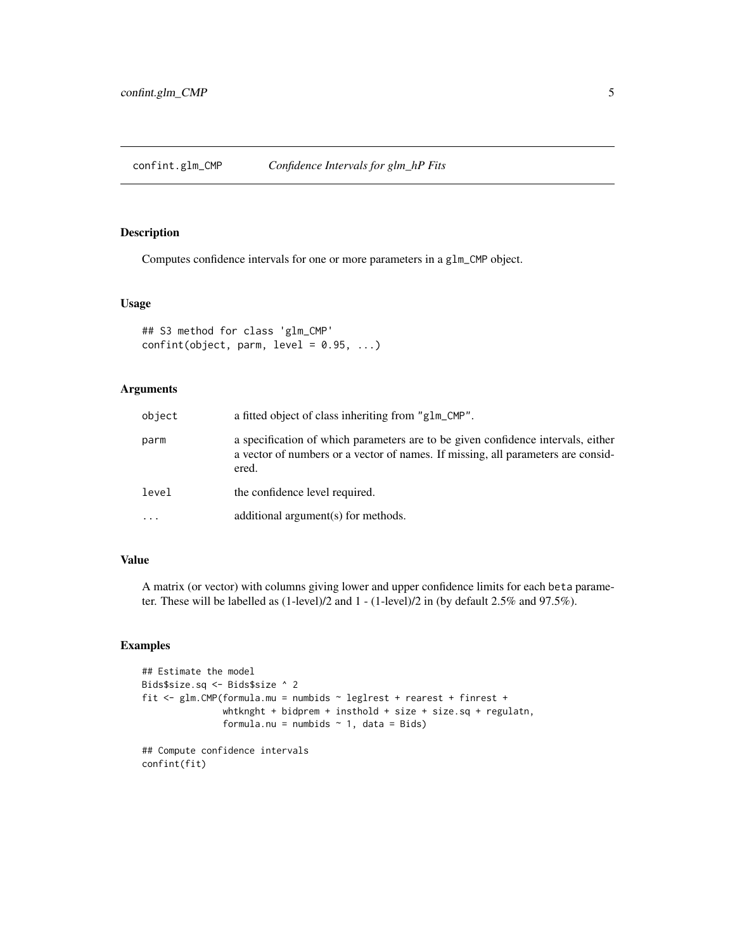<span id="page-4-0"></span>confint.glm\_CMP *Confidence Intervals for glm\_hP Fits*

#### Description

Computes confidence intervals for one or more parameters in a glm\_CMP object.

### Usage

```
## S3 method for class 'glm_CMP'
confint(object, parm, level = 0.95, ...)
```
# Arguments

| object | a fitted object of class inheriting from "glm_CMP".                                                                                                                           |
|--------|-------------------------------------------------------------------------------------------------------------------------------------------------------------------------------|
| parm   | a specification of which parameters are to be given confidence intervals, either<br>a vector of numbers or a vector of names. If missing, all parameters are consid-<br>ered. |
| level  | the confidence level required.                                                                                                                                                |
| .      | additional argument(s) for methods.                                                                                                                                           |

# Value

A matrix (or vector) with columns giving lower and upper confidence limits for each beta parameter. These will be labelled as (1-level)/2 and 1 - (1-level)/2 in (by default 2.5% and 97.5%).

# Examples

```
## Estimate the model
Bids$size.sq <- Bids$size ^ 2
fit <- glm.CMP(formula.mu = numbids ~ leglrest + rearest + finrest +
               whtknght + bidprem + insthold + size + size.sq + regulatn,
               formula.nu = numbids \sim 1, data = Bids)
## Compute confidence intervals
```
confint(fit)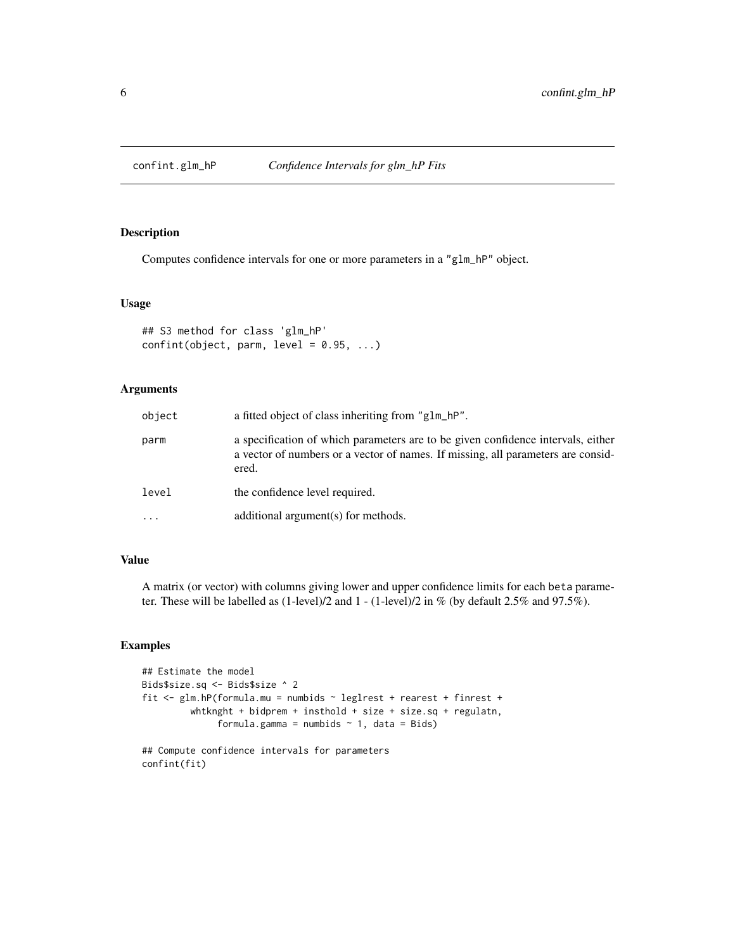<span id="page-5-0"></span>

Computes confidence intervals for one or more parameters in a "glm\_hP" object.

# Usage

```
## S3 method for class 'glm_hP'
confint(object, parm, level = 0.95, ...)
```
# Arguments

| object | a fitted object of class inheriting from "glm_hP".                                                                                                                            |
|--------|-------------------------------------------------------------------------------------------------------------------------------------------------------------------------------|
| parm   | a specification of which parameters are to be given confidence intervals, either<br>a vector of numbers or a vector of names. If missing, all parameters are consid-<br>ered. |
| level  | the confidence level required.                                                                                                                                                |
| .      | additional argument(s) for methods.                                                                                                                                           |

# Value

A matrix (or vector) with columns giving lower and upper confidence limits for each beta parameter. These will be labelled as (1-level)/2 and 1 - (1-level)/2 in % (by default 2.5% and 97.5%).

```
## Estimate the model
Bids$size.sq <- Bids$size ^ 2
fit <- glm.hP(formula.mu = numbids ~ leglrest + rearest + finrest +
         whtknght + bidprem + insthold + size + size.sq + regulatn,
              formula.gamma = numbids \sim 1, data = Bids)
## Compute confidence intervals for parameters
```

```
confint(fit)
```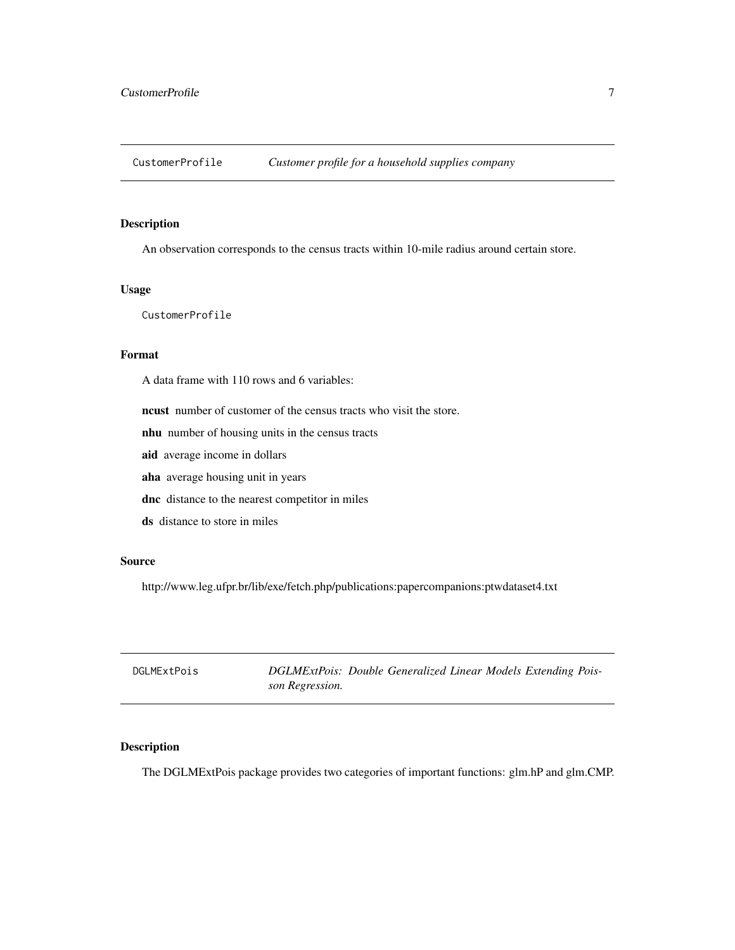<span id="page-6-0"></span>CustomerProfile *Customer profile for a household supplies company*

# Description

An observation corresponds to the census tracts within 10-mile radius around certain store.

### Usage

CustomerProfile

# Format

A data frame with 110 rows and 6 variables:

ncust number of customer of the census tracts who visit the store.

nhu number of housing units in the census tracts

aid average income in dollars

aha average housing unit in years

dnc distance to the nearest competitor in miles

ds distance to store in miles

# Source

http://www.leg.ufpr.br/lib/exe/fetch.php/publications:papercompanions:ptwdataset4.txt

| DGLMExtPois | DGLMExtPois: Double Generalized Linear Models Extending Pois- |
|-------------|---------------------------------------------------------------|
|             | son Regression.                                               |

# Description

The DGLMExtPois package provides two categories of important functions: glm.hP and glm.CMP.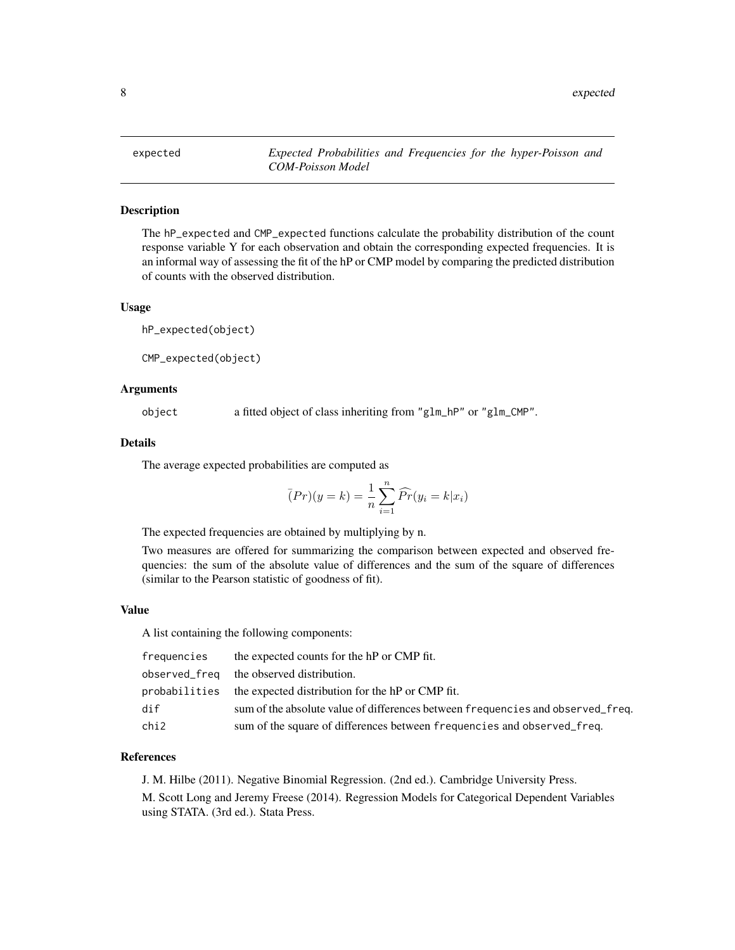<span id="page-7-0"></span>

The hP\_expected and CMP\_expected functions calculate the probability distribution of the count response variable Y for each observation and obtain the corresponding expected frequencies. It is an informal way of assessing the fit of the hP or CMP model by comparing the predicted distribution of counts with the observed distribution.

#### Usage

```
hP_expected(object)
```
CMP\_expected(object)

#### Arguments

object a fitted object of class inheriting from "glm\_hP" or "glm\_CMP".

# Details

The average expected probabilities are computed as

$$
(Pr)(y = k) = \frac{1}{n} \sum_{i=1}^{n} \widehat{Pr}(y_i = k | x_i)
$$

The expected frequencies are obtained by multiplying by n.

Two measures are offered for summarizing the comparison between expected and observed frequencies: the sum of the absolute value of differences and the sum of the square of differences (similar to the Pearson statistic of goodness of fit).

#### Value

A list containing the following components:

| frequencies | the expected counts for the hP or CMP fit.                                      |
|-------------|---------------------------------------------------------------------------------|
|             | observed_freq the observed distribution.                                        |
|             | probabilities the expected distribution for the hP or CMP fit.                  |
| dif         | sum of the absolute value of differences between frequencies and observed freq. |
| chi2        | sum of the square of differences between frequencies and observed_freq.         |

#### References

J. M. Hilbe (2011). Negative Binomial Regression. (2nd ed.). Cambridge University Press. M. Scott Long and Jeremy Freese (2014). Regression Models for Categorical Dependent Variables using STATA. (3rd ed.). Stata Press.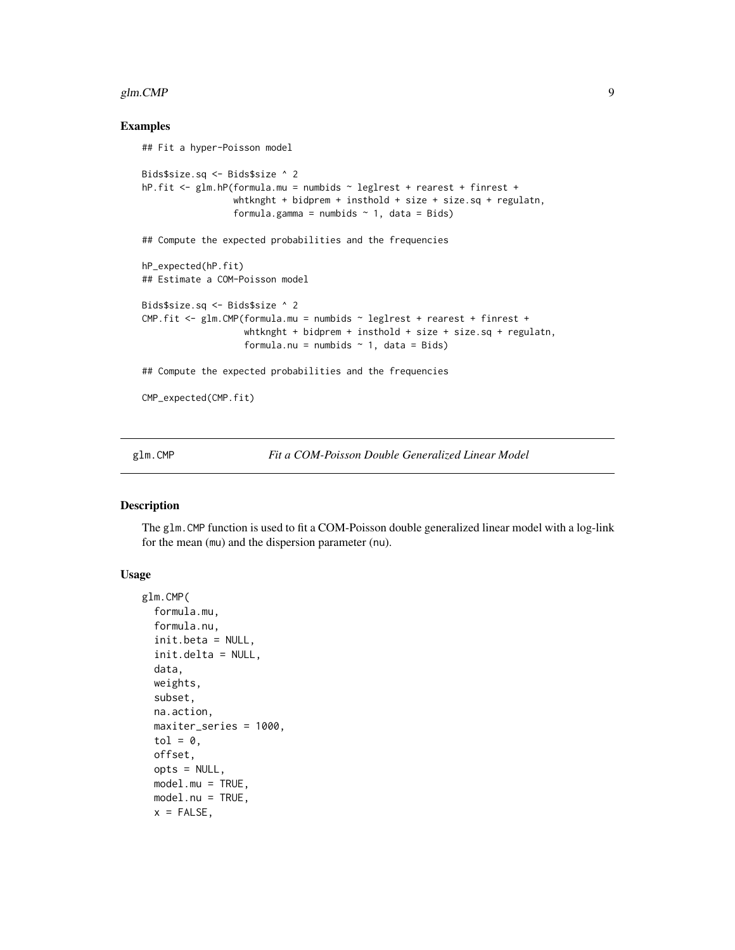#### <span id="page-8-0"></span> $g$ lm.CMP 9

#### Examples

```
## Fit a hyper-Poisson model
Bids$size.sq <- Bids$size ^ 2
hP.fit <- glm.hP(formula.mu = numbids ~ leglrest + rearest + finrest +
                 whtknght + bidprem + insthold + size + size.sq + regulatn,
                 formula.gamma = numbids \sim 1, data = Bids)
## Compute the expected probabilities and the frequencies
hP_expected(hP.fit)
## Estimate a COM-Poisson model
Bids$size.sq <- Bids$size ^ 2
CMP.fit <- glm.CMP(formula.mu = numbids ~ leglrest + rearest + finrest +
                   whtknght + bidprem + insthold + size + size.sq + regulatn,
                   formula.nu = numbids \sim 1, data = Bids)
## Compute the expected probabilities and the frequencies
CMP_expected(CMP.fit)
```
<span id="page-8-1"></span>glm.CMP *Fit a COM-Poisson Double Generalized Linear Model*

#### Description

The glm.CMP function is used to fit a COM-Poisson double generalized linear model with a log-link for the mean (mu) and the dispersion parameter (nu).

#### Usage

```
glm.CMP(
  formula.mu,
  formula.nu,
  init.beta = NULL,
  init.delta = NULL,
  data,
  weights,
  subset,
  na.action,
  maxiter_series = 1000,
  tol = 0.offset,
  opts = NULL,
  model.mu = TRUE,model.nu = TRUE,
  x = FALSE,
```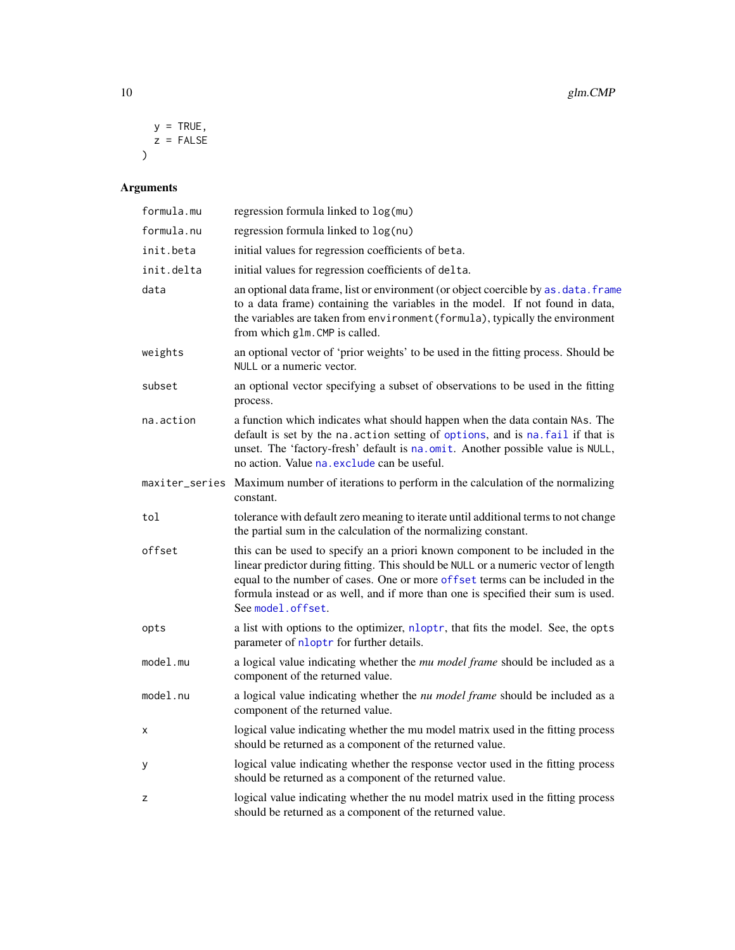<span id="page-9-0"></span>
$$
y = TRUE,
$$
  

$$
z = FALSE
$$

# Arguments

| formula.mu     | regression formula linked to log(mu)                                                                                                                                                                                                                                                                                                                          |
|----------------|---------------------------------------------------------------------------------------------------------------------------------------------------------------------------------------------------------------------------------------------------------------------------------------------------------------------------------------------------------------|
| formula.nu     | regression formula linked to log(nu)                                                                                                                                                                                                                                                                                                                          |
| init.beta      | initial values for regression coefficients of beta.                                                                                                                                                                                                                                                                                                           |
| init.delta     | initial values for regression coefficients of delta.                                                                                                                                                                                                                                                                                                          |
| data           | an optional data frame, list or environment (or object coercible by as . data. frame<br>to a data frame) containing the variables in the model. If not found in data,<br>the variables are taken from environment (formula), typically the environment<br>from which glm. CMP is called.                                                                      |
| weights        | an optional vector of 'prior weights' to be used in the fitting process. Should be<br>NULL or a numeric vector.                                                                                                                                                                                                                                               |
| subset         | an optional vector specifying a subset of observations to be used in the fitting<br>process.                                                                                                                                                                                                                                                                  |
| na.action      | a function which indicates what should happen when the data contain NAs. The<br>default is set by the na. action setting of options, and is na. fail if that is<br>unset. The 'factory-fresh' default is na.omit. Another possible value is NULL,<br>no action. Value na exclude can be useful.                                                               |
| maxiter_series | Maximum number of iterations to perform in the calculation of the normalizing<br>constant.                                                                                                                                                                                                                                                                    |
| tol            | tolerance with default zero meaning to iterate until additional terms to not change<br>the partial sum in the calculation of the normalizing constant.                                                                                                                                                                                                        |
| offset         | this can be used to specify an a priori known component to be included in the<br>linear predictor during fitting. This should be NULL or a numeric vector of length<br>equal to the number of cases. One or more offset terms can be included in the<br>formula instead or as well, and if more than one is specified their sum is used.<br>See model.offset. |
| opts           | a list with options to the optimizer, nloptr, that fits the model. See, the opts<br>parameter of nloptr for further details.                                                                                                                                                                                                                                  |
| model.mu       | a logical value indicating whether the mu model frame should be included as a<br>component of the returned value.                                                                                                                                                                                                                                             |
| model.nu       | a logical value indicating whether the nu model frame should be included as a<br>component of the returned value.                                                                                                                                                                                                                                             |
| x              | logical value indicating whether the mu model matrix used in the fitting process<br>should be returned as a component of the returned value.                                                                                                                                                                                                                  |
| у              | logical value indicating whether the response vector used in the fitting process<br>should be returned as a component of the returned value.                                                                                                                                                                                                                  |
| z              | logical value indicating whether the nu model matrix used in the fitting process<br>should be returned as a component of the returned value.                                                                                                                                                                                                                  |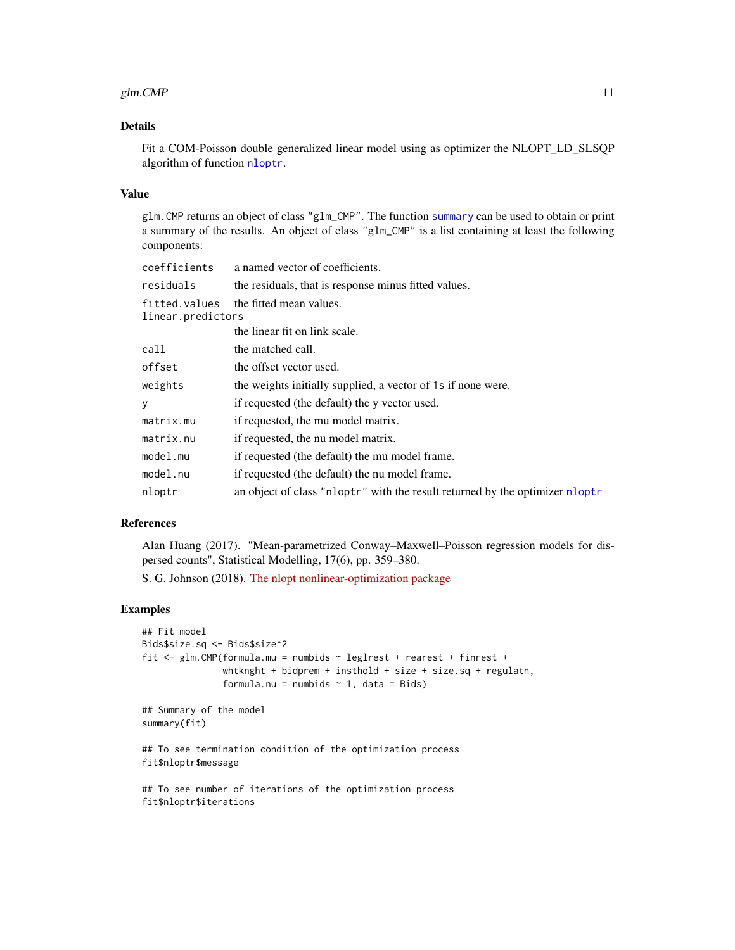#### <span id="page-10-0"></span>glm.CMP  $\Box$

# Details

Fit a COM-Poisson double generalized linear model using as optimizer the NLOPT\_LD\_SLSQP algorithm of function [nloptr](#page-0-0).

#### Value

glm.CMP returns an object of class "glm\_CMP". The function [summary](#page-0-0) can be used to obtain or print a summary of the results. An object of class "glm\_CMP" is a list containing at least the following components:

| coefficients                       | a named vector of coefficients.                                              |
|------------------------------------|------------------------------------------------------------------------------|
| residuals                          | the residuals, that is response minus fitted values.                         |
| fitted.values<br>linear.predictors | the fitted mean values.                                                      |
|                                    | the linear fit on link scale.                                                |
| call                               | the matched call.                                                            |
| offset                             | the offset vector used.                                                      |
| weights                            | the weights initially supplied, a vector of 1s if none were.                 |
| y                                  | if requested (the default) the y vector used.                                |
| matrix.mu                          | if requested, the mu model matrix.                                           |
| matrix.nu                          | if requested, the nu model matrix.                                           |
| model.mu                           | if requested (the default) the mu model frame.                               |
| model.nu                           | if requested (the default) the nu model frame.                               |
| nloptr                             | an object of class "nloptr" with the result returned by the optimizer nloptr |
|                                    |                                                                              |

# References

Alan Huang (2017). "Mean-parametrized Conway–Maxwell–Poisson regression models for dispersed counts", Statistical Modelling, 17(6), pp. 359–380.

S. G. Johnson (2018). [The nlopt nonlinear-optimization package](https://CRAN.R-project.org/package=nloptr)

```
## Fit model
Bids$size.sq <- Bids$size^2
fit <- glm.CMP(formula.mu = numbids ~ leglrest + rearest + finrest +
               whtknght + bidprem + insthold + size + size.sq + regulatn,
               formula.nu = numbids \sim 1, data = Bids)
## Summary of the model
summary(fit)
## To see termination condition of the optimization process
fit$nloptr$message
## To see number of iterations of the optimization process
fit$nloptr$iterations
```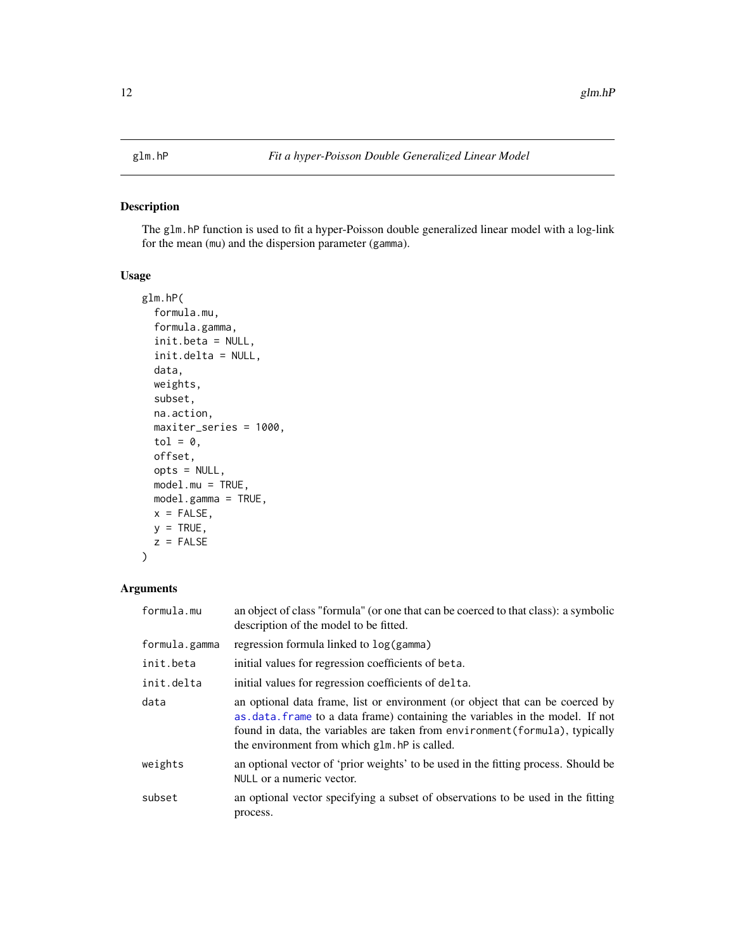<span id="page-11-1"></span><span id="page-11-0"></span>The glm.hP function is used to fit a hyper-Poisson double generalized linear model with a log-link for the mean (mu) and the dispersion parameter (gamma).

# Usage

```
glm.hP(
  formula.mu,
  formula.gamma,
  init.beta = NULL,
  init.delta = NULL,
  data,
  weights,
  subset,
  na.action,
  maxiter_series = 1000,
  tol = 0,offset,
  opts = NULL,model.mu = TRUE,
  model.gamma = TRUE,
  x = FALSE,
  y = TRUE,z = FALSE
)
```
# Arguments

| formula.mu    | an object of class "formula" (or one that can be coerced to that class): a symbolic<br>description of the model to be fitted.                                                                                                                                                                   |
|---------------|-------------------------------------------------------------------------------------------------------------------------------------------------------------------------------------------------------------------------------------------------------------------------------------------------|
| formula.gamma | regression formula linked to $log(gamma)$                                                                                                                                                                                                                                                       |
| init.beta     | initial values for regression coefficients of beta.                                                                                                                                                                                                                                             |
| init.delta    | initial values for regression coefficients of delta.                                                                                                                                                                                                                                            |
| data          | an optional data frame, list or environment (or object that can be coerced by<br>as data. frame to a data frame) containing the variables in the model. If not<br>found in data, the variables are taken from environment (formula), typically<br>the environment from which glm. hP is called. |
| weights       | an optional vector of 'prior weights' to be used in the fitting process. Should be<br>NULL or a numeric vector.                                                                                                                                                                                 |
| subset        | an optional vector specifying a subset of observations to be used in the fitting<br>process.                                                                                                                                                                                                    |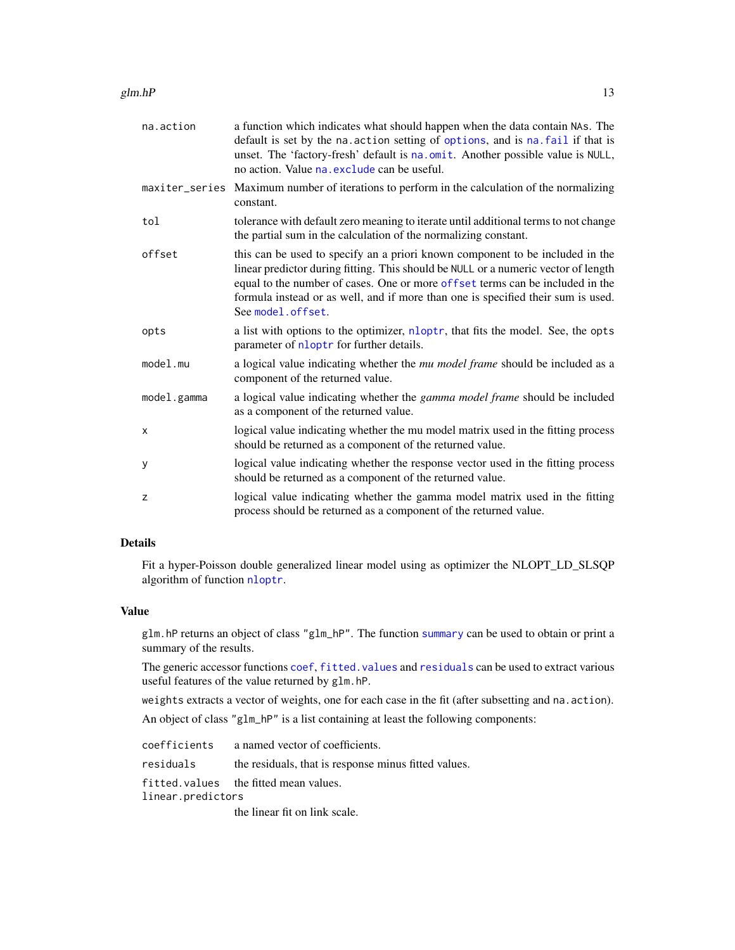<span id="page-12-0"></span>

| na.action   | a function which indicates what should happen when the data contain NAs. The<br>default is set by the na. action setting of options, and is na. fail if that is<br>unset. The 'factory-fresh' default is na.omit. Another possible value is NULL,<br>no action. Value na. exclude can be useful.                                                               |
|-------------|----------------------------------------------------------------------------------------------------------------------------------------------------------------------------------------------------------------------------------------------------------------------------------------------------------------------------------------------------------------|
|             | maxiter_series Maximum number of iterations to perform in the calculation of the normalizing<br>constant.                                                                                                                                                                                                                                                      |
| tol         | tolerance with default zero meaning to iterate until additional terms to not change<br>the partial sum in the calculation of the normalizing constant.                                                                                                                                                                                                         |
| offset      | this can be used to specify an a priori known component to be included in the<br>linear predictor during fitting. This should be NULL or a numeric vector of length<br>equal to the number of cases. One or more of fset terms can be included in the<br>formula instead or as well, and if more than one is specified their sum is used.<br>See model.offset. |
| opts        | a list with options to the optimizer, nloptr, that fits the model. See, the opts<br>parameter of nloptr for further details.                                                                                                                                                                                                                                   |
| model.mu    | a logical value indicating whether the mu model frame should be included as a<br>component of the returned value.                                                                                                                                                                                                                                              |
| model.gamma | a logical value indicating whether the <i>gamma model frame</i> should be included<br>as a component of the returned value.                                                                                                                                                                                                                                    |
| X           | logical value indicating whether the mu model matrix used in the fitting process<br>should be returned as a component of the returned value.                                                                                                                                                                                                                   |
| y           | logical value indicating whether the response vector used in the fitting process<br>should be returned as a component of the returned value.                                                                                                                                                                                                                   |
| Z           | logical value indicating whether the gamma model matrix used in the fitting<br>process should be returned as a component of the returned value.                                                                                                                                                                                                                |

# Details

Fit a hyper-Poisson double generalized linear model using as optimizer the NLOPT\_LD\_SLSQP algorithm of function [nloptr](#page-0-0).

#### Value

glm.hP returns an object of class "glm\_hP". The function [summary](#page-0-0) can be used to obtain or print a summary of the results.

The generic accessor functions [coef](#page-0-0), [fitted.values](#page-0-0) and [residuals](#page-18-1) can be used to extract various useful features of the value returned by glm.hP.

weights extracts a vector of weights, one for each case in the fit (after subsetting and na.action).

An object of class "glm\_hP" is a list containing at least the following components:

|                   | coefficients a named vector of coefficients.         |
|-------------------|------------------------------------------------------|
| residuals         | the residuals, that is response minus fitted values. |
|                   | fitted.values the fitted mean values.                |
| linear.predictors |                                                      |
|                   | the linear fit on link scale.                        |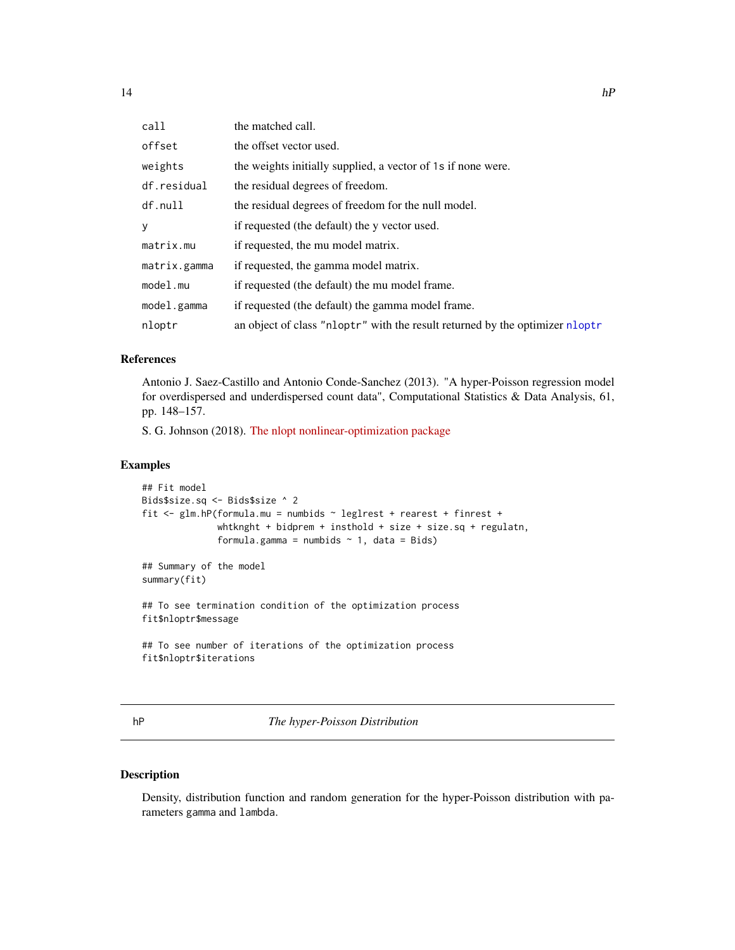<span id="page-13-0"></span>

| call         | the matched call.                                                            |
|--------------|------------------------------------------------------------------------------|
| offset       | the offset vector used.                                                      |
| weights      | the weights initially supplied, a vector of 1s if none were.                 |
| df.residual  | the residual degrees of freedom.                                             |
| df.null      | the residual degrees of freedom for the null model.                          |
| y            | if requested (the default) the y vector used.                                |
| matrix.mu    | if requested, the mu model matrix.                                           |
| matrix.gamma | if requested, the gamma model matrix.                                        |
| model.mu     | if requested (the default) the mu model frame.                               |
| model.gamma  | if requested (the default) the gamma model frame.                            |
| nloptr       | an object of class "nloptr" with the result returned by the optimizer nloptr |

# References

Antonio J. Saez-Castillo and Antonio Conde-Sanchez (2013). "A hyper-Poisson regression model for overdispersed and underdispersed count data", Computational Statistics & Data Analysis, 61, pp. 148–157.

S. G. Johnson (2018). [The nlopt nonlinear-optimization package](https://CRAN.R-project.org/package=nloptr)

#### Examples

```
## Fit model
Bids$size.sq <- Bids$size ^ 2
fit <- glm.hP(formula.mu = numbids ~ leglrest + rearest + finrest +
              whtknght + bidprem + insthold + size + size.sq + regulatn,
              formula.gamma = numbids \sim 1, data = Bids)
## Summary of the model
summary(fit)
## To see termination condition of the optimization process
fit$nloptr$message
## To see number of iterations of the optimization process
fit$nloptr$iterations
```
hP *The hyper-Poisson Distribution*

#### Description

Density, distribution function and random generation for the hyper-Poisson distribution with parameters gamma and lambda.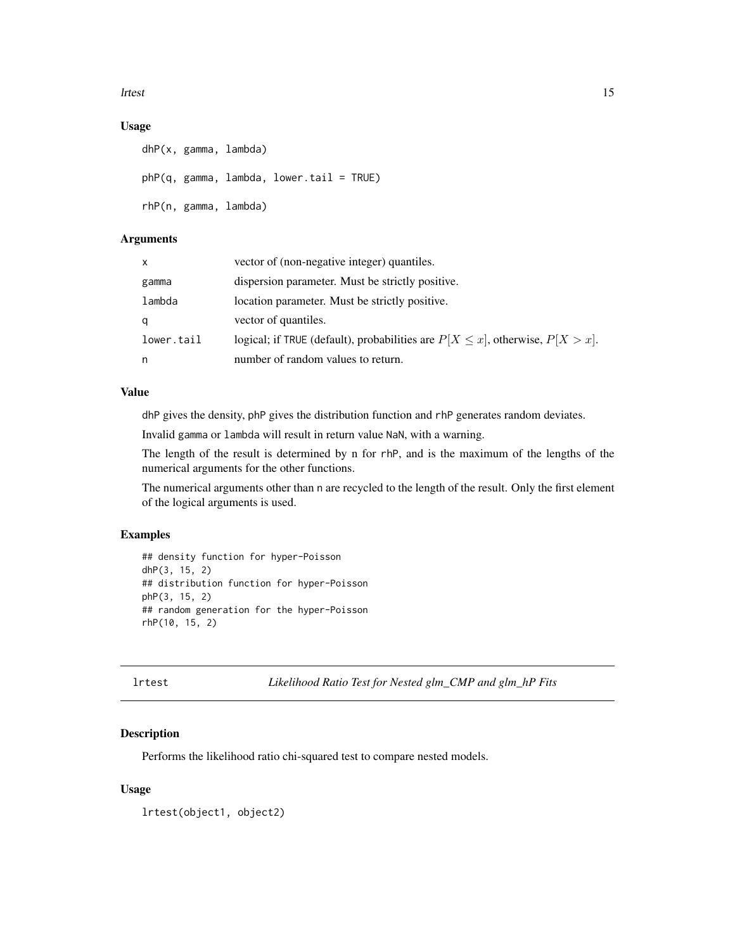#### <span id="page-14-0"></span>lrtest 15

# Usage

```
dhP(x, gamma, lambda)
phP(q, gamma, lambda, lower.tail = TRUE)
rhP(n, gamma, lambda)
```
# Arguments

| X          | vector of (non-negative integer) quantiles.                                          |
|------------|--------------------------------------------------------------------------------------|
| gamma      | dispersion parameter. Must be strictly positive.                                     |
| lambda     | location parameter. Must be strictly positive.                                       |
| q          | vector of quantiles.                                                                 |
| lower.tail | logical; if TRUE (default), probabilities are $P[X \le x]$ , otherwise, $P[X > x]$ . |
| n          | number of random values to return.                                                   |

# Value

dhP gives the density, phP gives the distribution function and rhP generates random deviates.

Invalid gamma or lambda will result in return value NaN, with a warning.

The length of the result is determined by n for rhP, and is the maximum of the lengths of the numerical arguments for the other functions.

The numerical arguments other than n are recycled to the length of the result. Only the first element of the logical arguments is used.

#### Examples

```
## density function for hyper-Poisson
dhP(3, 15, 2)
## distribution function for hyper-Poisson
phP(3, 15, 2)
## random generation for the hyper-Poisson
rhP(10, 15, 2)
```
lrtest *Likelihood Ratio Test for Nested glm\_CMP and glm\_hP Fits*

#### Description

Performs the likelihood ratio chi-squared test to compare nested models.

#### Usage

lrtest(object1, object2)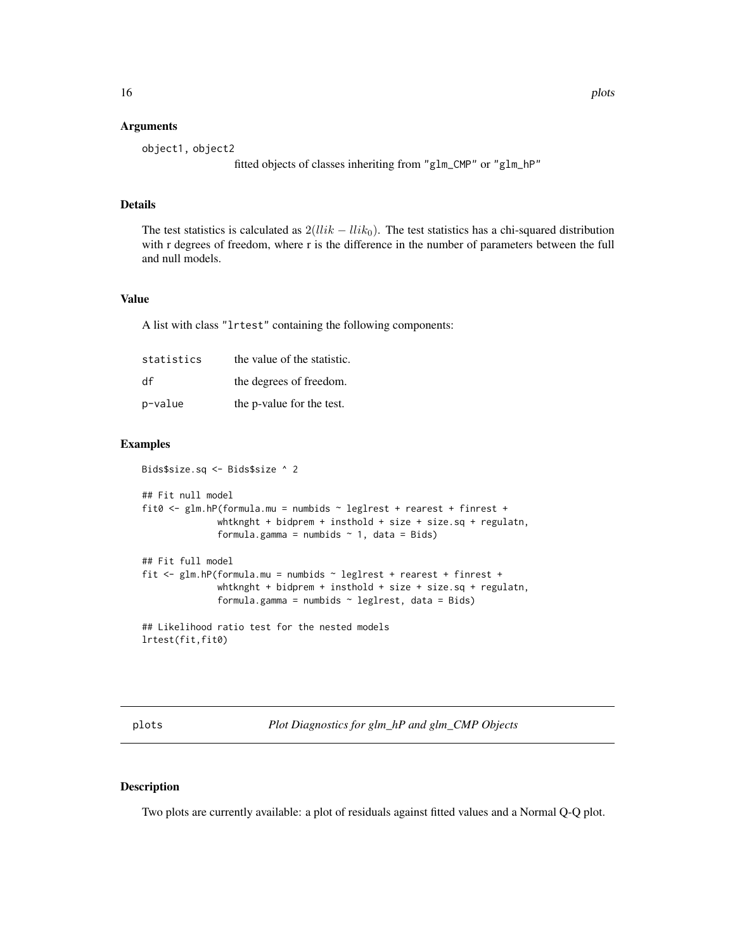#### <span id="page-15-0"></span>**Arguments**

```
object1, object2
                  fitted objects of classes inheriting from "glm_CMP" or "glm_hP"
```
# Details

The test statistics is calculated as  $2(llik - llik_0)$ . The test statistics has a chi-squared distribution with r degrees of freedom, where r is the difference in the number of parameters between the full and null models.

#### Value

A list with class "lrtest" containing the following components:

| statistics | the value of the statistic. |
|------------|-----------------------------|
| df         | the degrees of freedom.     |
| p-value    | the p-value for the test.   |

# Examples

```
Bids$size.sq <- Bids$size ^ 2
## Fit null model
fit0 <- glm.hP(formula.mu = numbids ~ leglrest + rearest + finrest +
              whtknght + bidprem + insthold + size + size.sq + regulatn,
              formula.gamma = numbids \sim 1, data = Bids)
## Fit full model
fit <- glm.hP(formula.mu = numbids ~ leglrest + rearest + finrest +
              whtknght + bidprem + insthold + size + size.sq + regulatn,
              formula.gamma = numbids \sim leglrest, data = Bids)
## Likelihood ratio test for the nested models
lrtest(fit,fit0)
```
<span id="page-15-2"></span>plots *Plot Diagnostics for glm\_hP and glm\_CMP Objects*

#### <span id="page-15-1"></span>Description

Two plots are currently available: a plot of residuals against fitted values and a Normal Q-Q plot.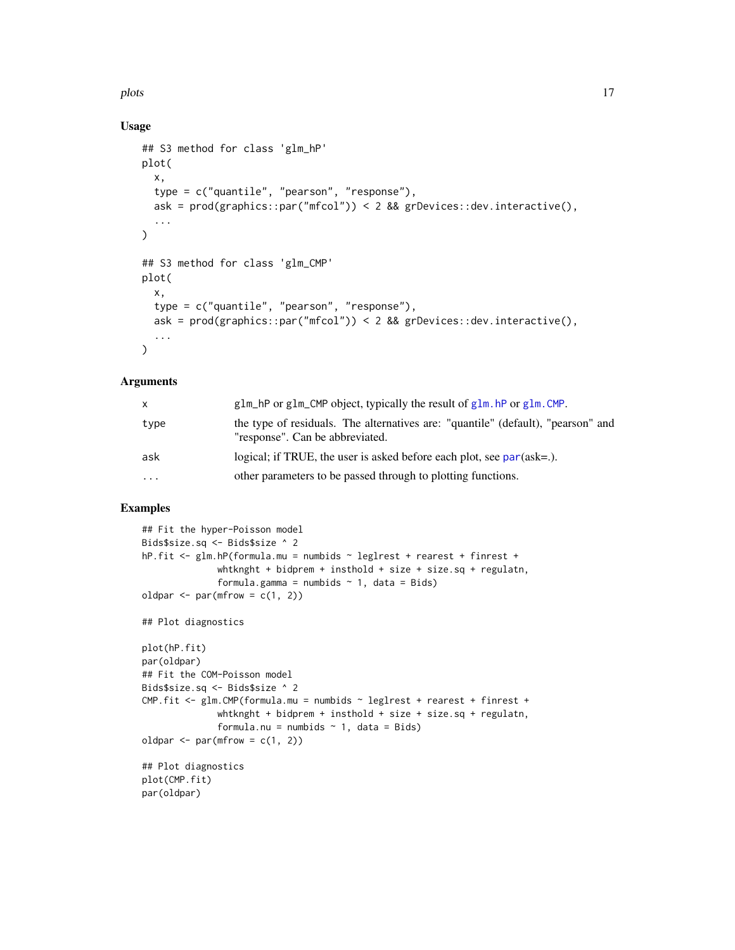<span id="page-16-0"></span>plots and the plot of the state of the state of the state of the state of the state of the state of the state of the state of the state of the state of the state of the state of the state of the state of the state of the s

### Usage

```
## S3 method for class 'glm_hP'
plot(
  x,
  type = c("quantile", "pearson", "response"),
  ask = prod(graphics::par("mfcol")) < 2 && grDevices::dev.interactive(),
  ...
\mathcal{L}## S3 method for class 'glm_CMP'
plot(
  x,
  type = c("quantile", "pearson", "response"),
  ask = prod(graphics::par("mfcol")) < 2 && grDevices::dev.interactive(),
  ...
)
```
#### Arguments

| X        | $glm_hP$ or $glm_cMP$ object, typically the result of $glm_hP$ or $glm_cMP$ .                                       |
|----------|---------------------------------------------------------------------------------------------------------------------|
| type     | the type of residuals. The alternatives are: "quantile" (default), "pearson" and<br>"response". Can be abbreviated. |
| ask      | logical; if TRUE, the user is asked before each plot, see $par(ask=.)$ .                                            |
| $\cdots$ | other parameters to be passed through to plotting functions.                                                        |

```
## Fit the hyper-Poisson model
Bids$size.sq <- Bids$size ^ 2
hP.fit <- glm.hP(formula.mu = numbids ~ leglrest + rearest + finrest +
              whtknght + bidprem + insthold + size + size.sq + regulatn,
              formula.gamma = numbids \sim 1, data = Bids)
oldpar \leq par(mfrow = c(1, 2))
## Plot diagnostics
plot(hP.fit)
par(oldpar)
## Fit the COM-Poisson model
Bids$size.sq <- Bids$size ^ 2
CMP.fit <- glm.CMP(formula.mu = numbids ~ leglrest + rearest + finrest +
              whtknght + bidprem + insthold + size + size.sq + regulatn,
              formula.nu = numbids \sim 1, data = Bids)
oldpar \leq par(mfrow = c(1, 2))
## Plot diagnostics
plot(CMP.fit)
par(oldpar)
```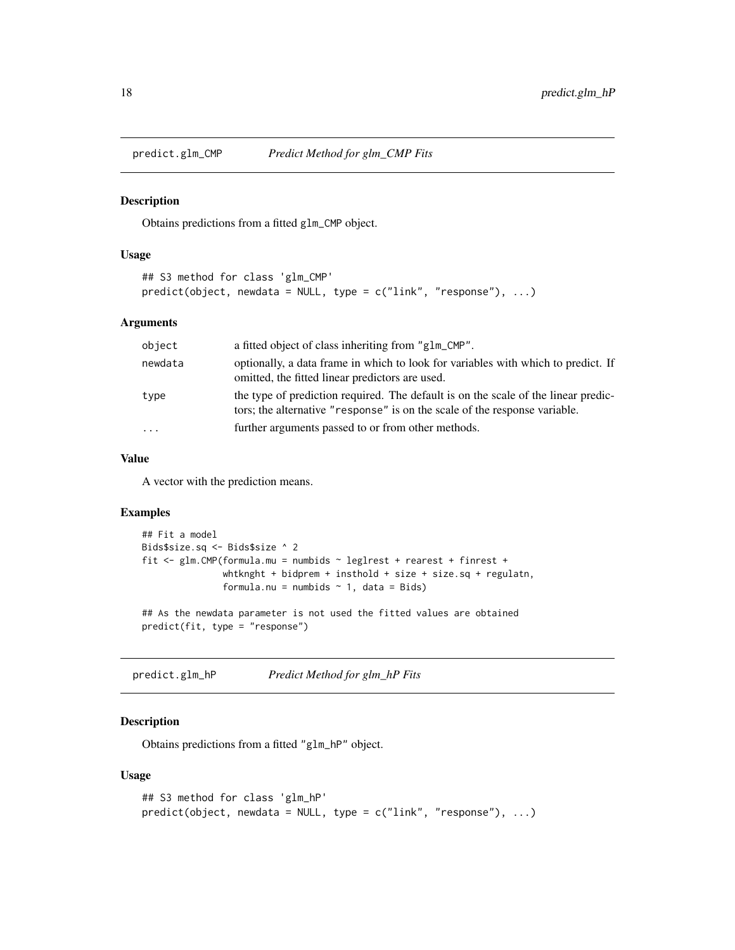<span id="page-17-0"></span>

Obtains predictions from a fitted glm\_CMP object.

#### Usage

```
## S3 method for class 'glm_CMP'
predict(object, new data = NULL, type = c("link", "response"), ...)
```
#### Arguments

| object   | a fitted object of class inheriting from "glm_CMP".                                                                                                              |
|----------|------------------------------------------------------------------------------------------------------------------------------------------------------------------|
| newdata  | optionally, a data frame in which to look for variables with which to predict. If<br>omitted, the fitted linear predictors are used.                             |
| type     | the type of prediction required. The default is on the scale of the linear predic-<br>tors; the alternative "response" is on the scale of the response variable. |
| $\cdots$ | further arguments passed to or from other methods.                                                                                                               |

#### Value

A vector with the prediction means.

#### Examples

```
## Fit a model
Bids$size.sq <- Bids$size ^ 2
fit <- glm.CMP(formula.mu = numbids ~ leglrest + rearest + finrest +
               whtknght + bidprem + insthold + size + size.sq + regulatn,
               formula.nu = numbids \sim 1, data = Bids)
## As the newdata parameter is not used the fitted values are obtained
predict(fit, type = "response")
```
predict.glm\_hP *Predict Method for glm\_hP Fits*

# Description

Obtains predictions from a fitted "glm\_hP" object.

#### Usage

```
## S3 method for class 'glm_hP'
predict(object, new data = NULL, type = c("link", "response"), ...)
```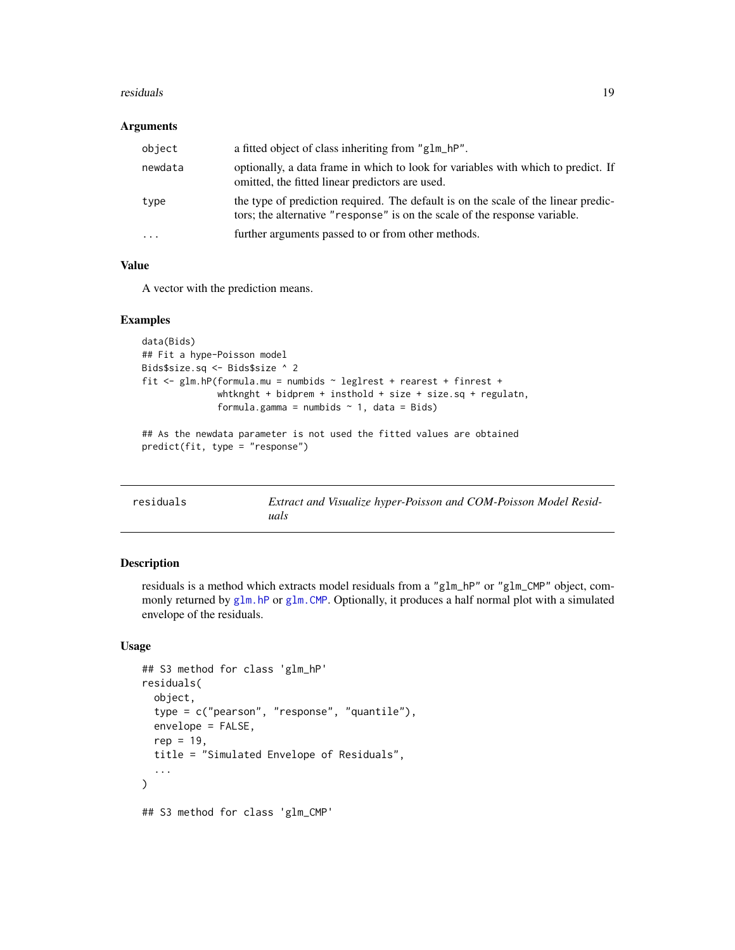#### <span id="page-18-0"></span>residuals and the set of the set of the set of the set of the set of the set of the set of the set of the set o

#### Arguments

| object    | a fitted object of class inheriting from "glm_hP".                                                                                                               |
|-----------|------------------------------------------------------------------------------------------------------------------------------------------------------------------|
| newdata   | optionally, a data frame in which to look for variables with which to predict. If<br>omitted, the fitted linear predictors are used.                             |
| type      | the type of prediction required. The default is on the scale of the linear predic-<br>tors; the alternative "response" is on the scale of the response variable. |
| $\ddotsc$ | further arguments passed to or from other methods.                                                                                                               |

# Value

A vector with the prediction means.

#### Examples

```
data(Bids)
## Fit a hype-Poisson model
Bids$size.sq <- Bids$size ^ 2
fit <- glm.hP(formula.mu = numbids ~ leglrest + rearest + finrest +
              whtknght + bidprem + insthold + size + size.sq + regulatn,
              formula.gamma = numbids \sim 1, data = Bids)
## As the newdata parameter is not used the fitted values are obtained
predict(fit, type = "response")
```
<span id="page-18-1"></span>

| residuals | Extract and Visualize hyper-Poisson and COM-Poisson Model Resid- |
|-----------|------------------------------------------------------------------|
|           | uals                                                             |

#### Description

residuals is a method which extracts model residuals from a "glm\_hP" or "glm\_CMP" object, commonly returned by [glm.hP](#page-11-1) or [glm.CMP](#page-8-1). Optionally, it produces a half normal plot with a simulated envelope of the residuals.

# Usage

```
## S3 method for class 'glm_hP'
residuals(
  object,
  type = c("pearson", "response", "quantile"),
  envelope = FALSE,
  rep = 19.
  title = "Simulated Envelope of Residuals",
  ...
)
## S3 method for class 'glm_CMP'
```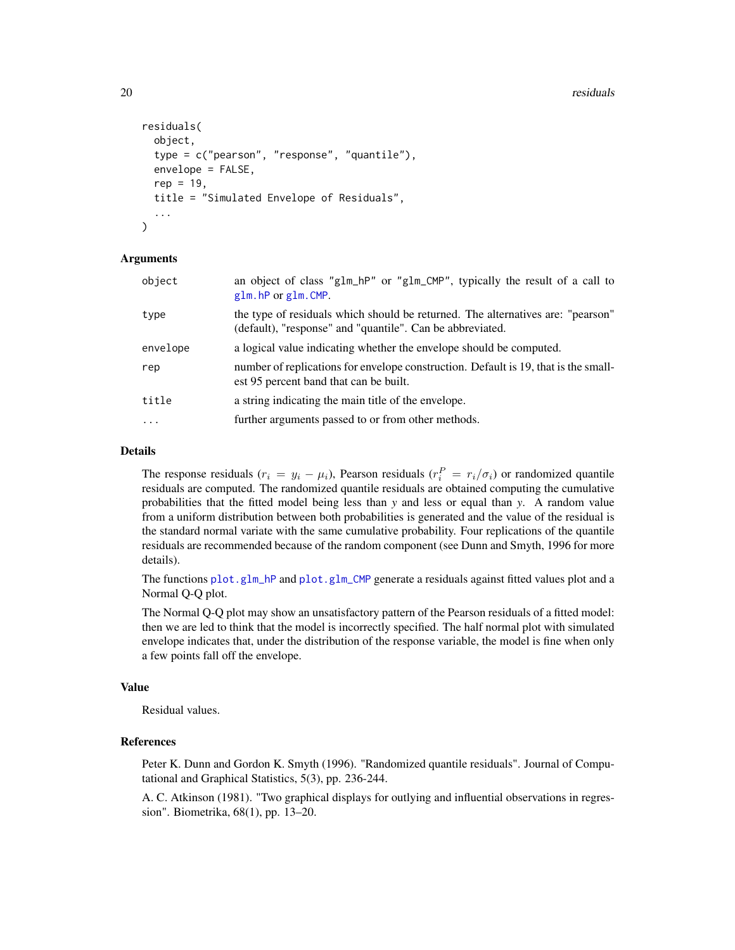```
residuals(
  object,
  type = c("pearson", "response", "quantile"),
  envelope = FALSE,
  rep = 19,
  title = "Simulated Envelope of Residuals",
  ...
)
```
#### Arguments

| object   | an object of class "glm_hP" or "glm_CMP", typically the result of a call to<br>glm.hP or glm.CMP.                                            |
|----------|----------------------------------------------------------------------------------------------------------------------------------------------|
| type     | the type of residuals which should be returned. The alternatives are: "pearson"<br>(default), "response" and "quantile". Can be abbreviated. |
| envelope | a logical value indicating whether the envelope should be computed.                                                                          |
| rep      | number of replications for envelope construction. Default is 19, that is the small-<br>est 95 percent band that can be built.                |
| title    | a string indicating the main title of the envelope.                                                                                          |
| $\cdots$ | further arguments passed to or from other methods.                                                                                           |
|          |                                                                                                                                              |

#### Details

The response residuals  $(r_i = y_i - \mu_i)$ , Pearson residuals  $(r_i^P = r_i / \sigma_i)$  or randomized quantile residuals are computed. The randomized quantile residuals are obtained computing the cumulative probabilities that the fitted model being less than *y* and less or equal than *y*. A random value from a uniform distribution between both probabilities is generated and the value of the residual is the standard normal variate with the same cumulative probability. Four replications of the quantile residuals are recommended because of the random component (see Dunn and Smyth, 1996 for more details).

The functions [plot.glm\\_hP](#page-15-1) and [plot.glm\\_CMP](#page-15-1) generate a residuals against fitted values plot and a Normal Q-Q plot.

The Normal Q-Q plot may show an unsatisfactory pattern of the Pearson residuals of a fitted model: then we are led to think that the model is incorrectly specified. The half normal plot with simulated envelope indicates that, under the distribution of the response variable, the model is fine when only a few points fall off the envelope.

#### Value

Residual values.

# References

Peter K. Dunn and Gordon K. Smyth (1996). "Randomized quantile residuals". Journal of Computational and Graphical Statistics, 5(3), pp. 236-244.

A. C. Atkinson (1981). "Two graphical displays for outlying and influential observations in regression". Biometrika, 68(1), pp. 13–20.

<span id="page-19-0"></span>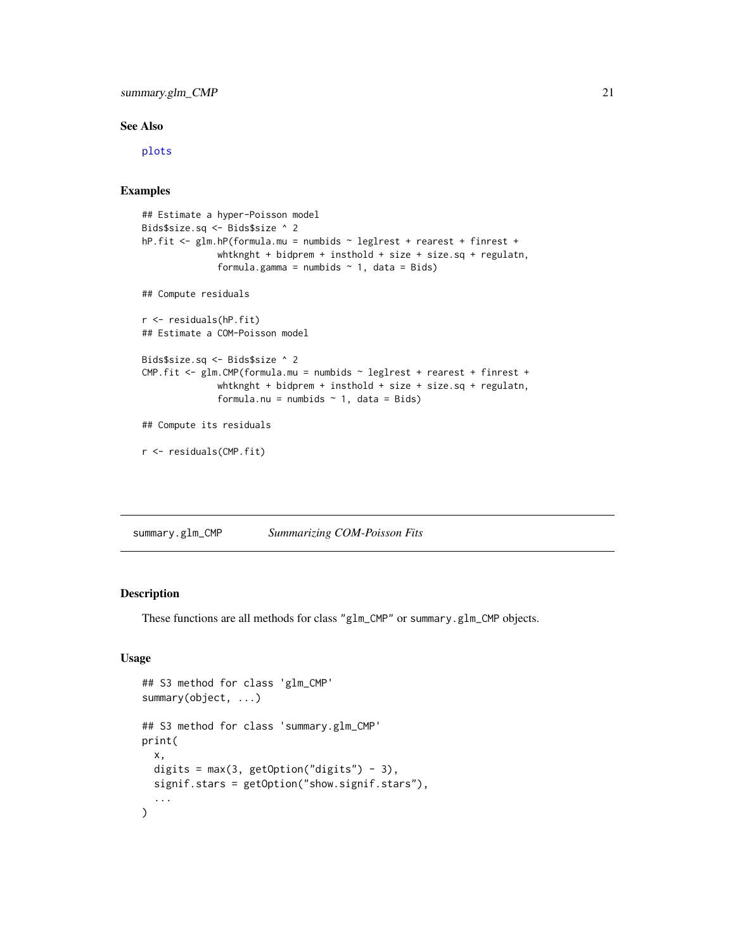# <span id="page-20-0"></span>summary.glm\_CMP 21

### See Also

[plots](#page-15-2)

### Examples

```
## Estimate a hyper-Poisson model
Bids$size.sq <- Bids$size ^ 2
hP.fit <- glm.hP(formula.mu = numbids ~ leglrest + rearest + finrest +
              whtknght + bidprem + insthold + size + size.sq + regulatn,
              formula.gamma = numbids \sim 1, data = Bids)
## Compute residuals
r <- residuals(hP.fit)
## Estimate a COM-Poisson model
Bids$size.sq <- Bids$size ^ 2
CMP.fit <- glm.CMP(formula.mu = numbids ~ leglrest + rearest + finrest +
              whtknght + bidprem + insthold + size + size.sq + regulatn,
              formula.nu = numbids \sim 1, data = Bids)
## Compute its residuals
r <- residuals(CMP.fit)
```
summary.glm\_CMP *Summarizing COM-Poisson Fits*

# Description

These functions are all methods for class "glm\_CMP" or summary.glm\_CMP objects.

# Usage

```
## S3 method for class 'glm_CMP'
summary(object, ...)
## S3 method for class 'summary.glm_CMP'
print(
  x,
  digits = max(3, getOption("digits") - 3),signif.stars = getOption("show.signif.stars"),
  ...
\mathcal{L}
```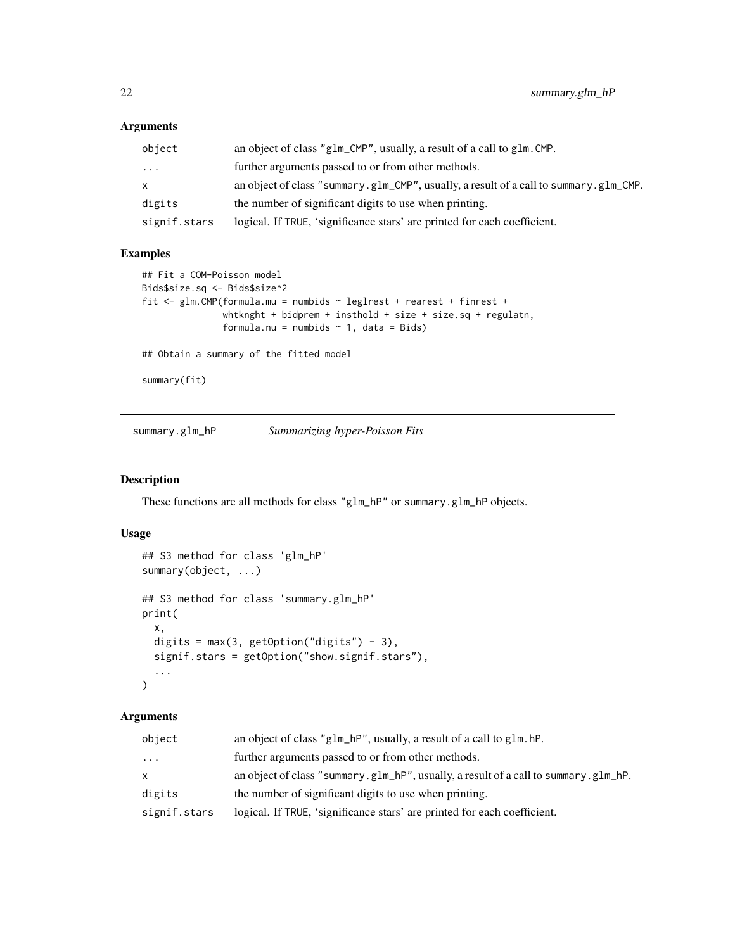# <span id="page-21-0"></span>Arguments

| object       | an object of class "g1m_CMP", usually, a result of a call to g1m. CMP.                |
|--------------|---------------------------------------------------------------------------------------|
| .            | further arguments passed to or from other methods.                                    |
| x.           | an object of class "summary.g1m_CMP", usually, a result of a call to summary.g1m_CMP. |
| digits       | the number of significant digits to use when printing.                                |
| signif.stars | logical. If TRUE, 'significance stars' are printed for each coefficient.              |

# Examples

```
## Fit a COM-Poisson model
Bids$size.sq <- Bids$size^2
fit <- glm.CMP(formula.mu = numbids ~ leglrest + rearest + finrest +
               whtknght + bidprem + insthold + size + size.sq + regulatn,
               formula.nu = numbids \sim 1, data = Bids)
## Obtain a summary of the fitted model
summary(fit)
```
summary.glm\_hP *Summarizing hyper-Poisson Fits*

#### Description

These functions are all methods for class "glm\_hP" or summary.glm\_hP objects.

# Usage

```
## S3 method for class 'glm_hP'
summary(object, ...)
## S3 method for class 'summary.glm_hP'
print(
 x,
 digits = max(3, getOption("digits") - 3),signif.stars = getOption("show.signif.stars"),
  ...
)
```
# Arguments

| object       | an object of class "g1m_hP", usually, a result of a call to g1m.hP.                 |
|--------------|-------------------------------------------------------------------------------------|
| .            | further arguments passed to or from other methods.                                  |
| x            | an object of class "summary.glm_hP", usually, a result of a call to summary.glm_hP. |
| digits       | the number of significant digits to use when printing.                              |
| signif.stars | logical. If TRUE, 'significance stars' are printed for each coefficient.            |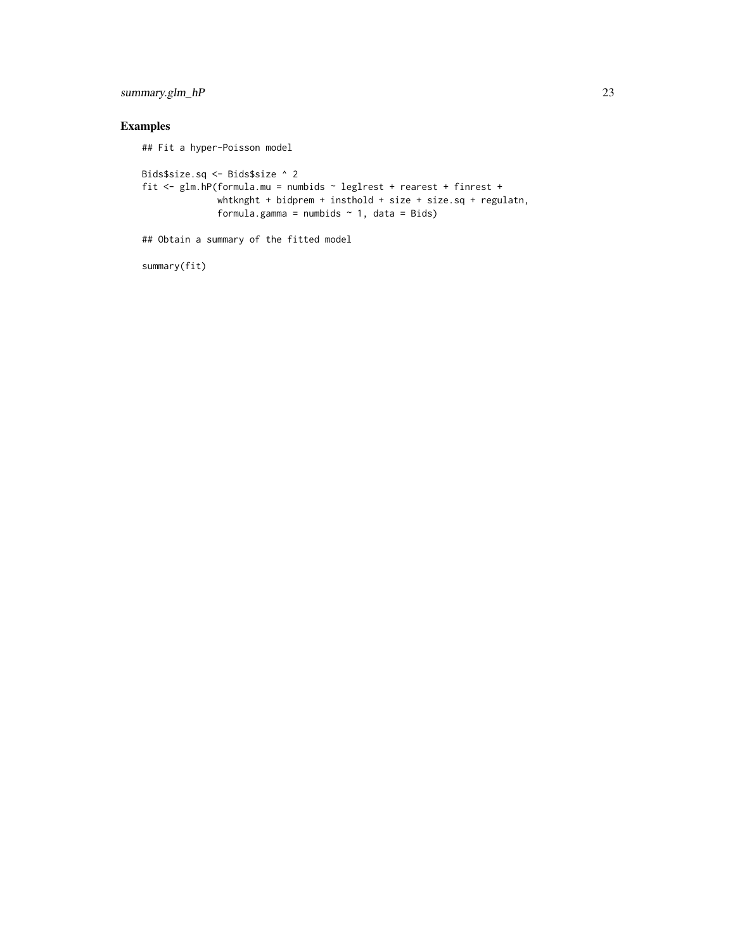# summary.glm\_hP 23

```
## Fit a hyper-Poisson model
Bids$size.sq <- Bids$size ^ 2
fit <- glm.hP(formula.mu = numbids ~ leglrest + rearest + finrest +
              whtknght + bidprem + insthold + size + size.sq + regulatn,
              formula.gamma = numbids \sim 1, data = Bids)
## Obtain a summary of the fitted model
```

```
summary(fit)
```